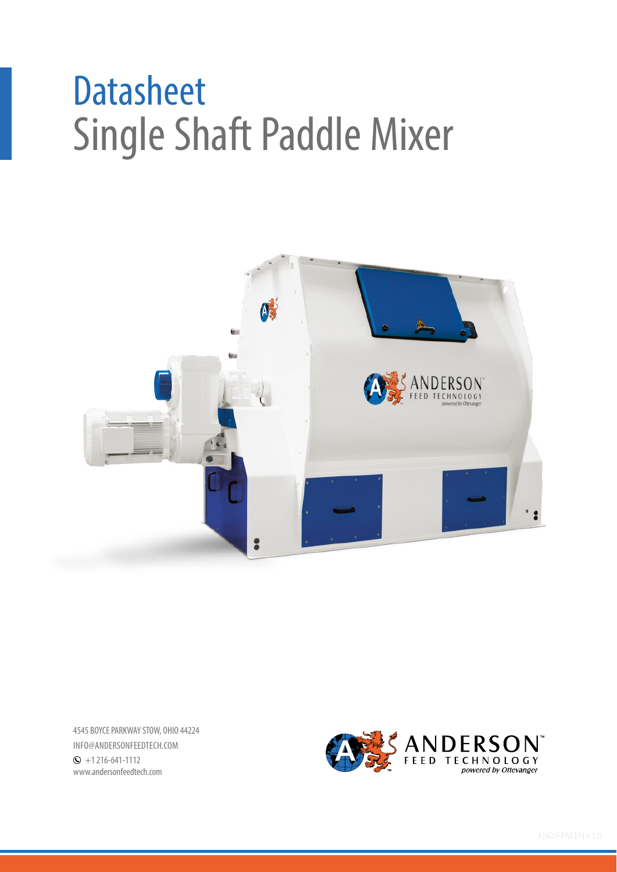# Single Shaft Paddle Mixer **Datasheet**



4545 BOYCE PARKWAY STOW, OHIO 44224 INFO@ANDERSONFEEDTECH.COM  $\odot$  +1 216-641-1112 www.andersonfeedtech.com